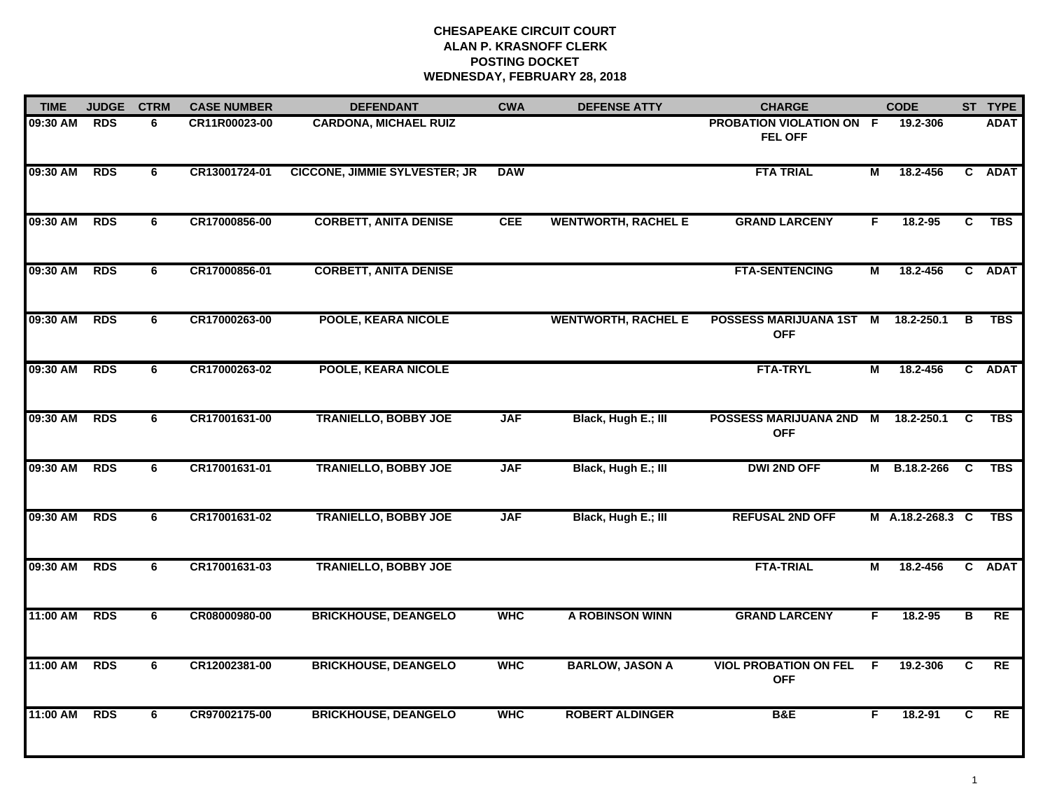# **CHESAPEAKE CIRCUIT COURT ALAN P. KRASNOFF CLERK POSTING DOCKETWEDNESDAY, FEBRUARY 28, 2018**

| <b>TIME</b> | <b>JUDGE</b> | <b>CTRM</b> | <b>CASE NUMBER</b> | <b>DEFENDANT</b>                     | <b>CWA</b> | <b>DEFENSE ATTY</b>        | <b>CHARGE</b>                              |     | <b>CODE</b>      |          | ST TYPE     |
|-------------|--------------|-------------|--------------------|--------------------------------------|------------|----------------------------|--------------------------------------------|-----|------------------|----------|-------------|
| 09:30 AM    | <b>RDS</b>   | 6           | CR11R00023-00      | <b>CARDONA, MICHAEL RUIZ</b>         |            |                            | PROBATION VIOLATION ON F<br><b>FEL OFF</b> |     | 19.2-306         |          | <b>ADAT</b> |
| 09:30 AM    | <b>RDS</b>   | 6           | CR13001724-01      | <b>CICCONE, JIMMIE SYLVESTER; JR</b> | <b>DAW</b> |                            | <b>FTA TRIAL</b>                           | М   | 18.2-456         |          | C ADAT      |
| 09:30 AM    | <b>RDS</b>   | 6           | CR17000856-00      | <b>CORBETT, ANITA DENISE</b>         | <b>CEE</b> | <b>WENTWORTH, RACHEL E</b> | <b>GRAND LARCENY</b>                       | F.  | 18.2-95          | C.       | <b>TBS</b>  |
| 09:30 AM    | <b>RDS</b>   | 6           | CR17000856-01      | <b>CORBETT, ANITA DENISE</b>         |            |                            | <b>FTA-SENTENCING</b>                      | М   | 18.2-456         |          | C ADAT      |
| 09:30 AM    | <b>RDS</b>   | 6           | CR17000263-00      | <b>POOLE, KEARA NICOLE</b>           |            | <b>WENTWORTH, RACHEL E</b> | POSSESS MARIJUANA 1ST<br><b>OFF</b>        | M   | 18.2-250.1       | В        | <b>TBS</b>  |
| 09:30 AM    | <b>RDS</b>   | 6           | CR17000263-02      | POOLE, KEARA NICOLE                  |            |                            | <b>FTA-TRYL</b>                            | М   | 18.2-456         |          | C ADAT      |
| 09:30 AM    | <b>RDS</b>   | 6           | CR17001631-00      | <b>TRANIELLO, BOBBY JOE</b>          | <b>JAF</b> | Black, Hugh E.; III        | <b>POSSESS MARIJUANA 2ND</b><br><b>OFF</b> | M   | 18.2-250.1       | C.       | <b>TBS</b>  |
| 09:30 AM    | <b>RDS</b>   | 6           | CR17001631-01      | <b>TRANIELLO, BOBBY JOE</b>          | <b>JAF</b> | Black, Hugh E.; III        | <b>DWI 2ND OFF</b>                         |     | M B.18.2-266     | <b>C</b> | TBS         |
| 09:30 AM    | <b>RDS</b>   | 6           | CR17001631-02      | <b>TRANIELLO, BOBBY JOE</b>          | <b>JAF</b> | Black, Hugh E.; III        | <b>REFUSAL 2ND OFF</b>                     |     | M A.18.2-268.3 C |          | <b>TBS</b>  |
| 09:30 AM    | <b>RDS</b>   | 6           | CR17001631-03      | <b>TRANIELLO, BOBBY JOE</b>          |            |                            | <b>FTA-TRIAL</b>                           | М   | 18.2-456         |          | C ADAT      |
| 11:00 AM    | <b>RDS</b>   | 6           | CR08000980-00      | <b>BRICKHOUSE, DEANGELO</b>          | <b>WHC</b> | A ROBINSON WINN            | <b>GRAND LARCENY</b>                       | F.  | 18.2-95          | В        | RE          |
| 11:00 AM    | <b>RDS</b>   | 6           | CR12002381-00      | <b>BRICKHOUSE, DEANGELO</b>          | <b>WHC</b> | <b>BARLOW, JASON A</b>     | <b>VIOL PROBATION ON FEL</b><br><b>OFF</b> | -F. | 19.2-306         | C        | <b>RE</b>   |
| 11:00 AM    | <b>RDS</b>   | 6           | CR97002175-00      | <b>BRICKHOUSE, DEANGELO</b>          | <b>WHC</b> | <b>ROBERT ALDINGER</b>     | <b>B&amp;E</b>                             | F   | $18.2 - 91$      | C        | RE          |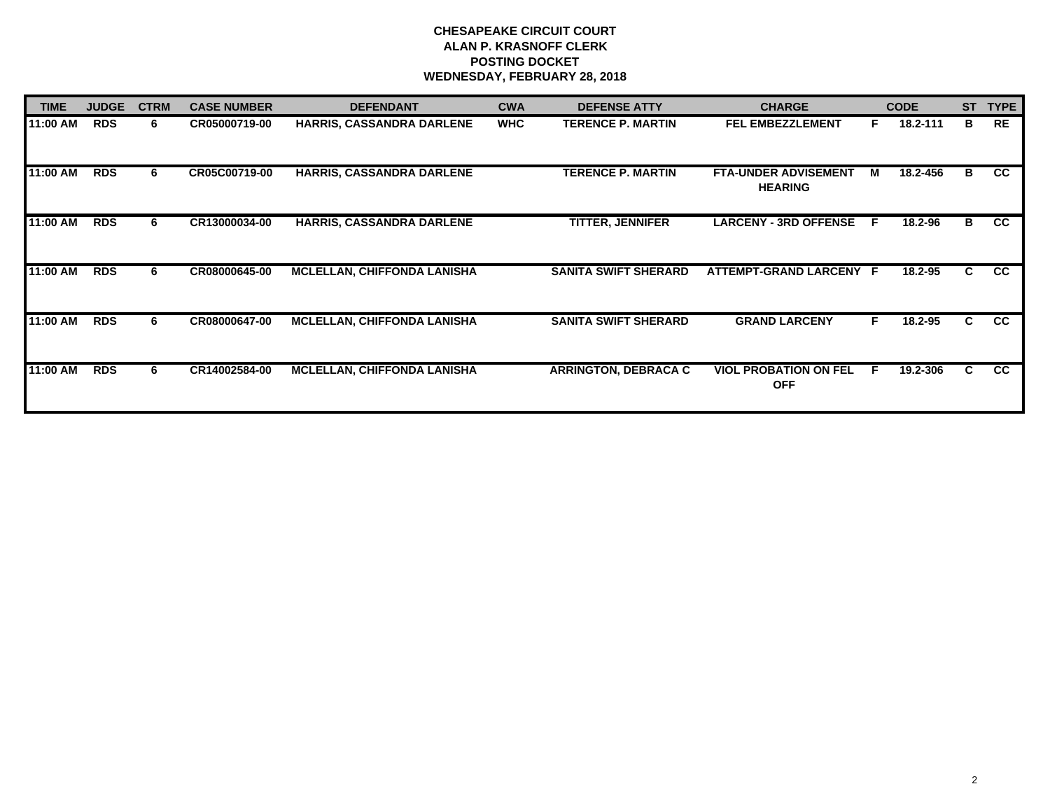# **CHESAPEAKE CIRCUIT COURT ALAN P. KRASNOFF CLERK POSTING DOCKET WEDNESDAY, FEBRUARY 28, 2018**

| <b>TIME</b> | <b>JUDGE</b> | <b>CTRM</b> | <b>CASE NUMBER</b> | <b>DEFENDANT</b>                   | <b>CWA</b> | <b>DEFENSE ATTY</b>         | <b>CHARGE</b>                                 |     | <b>CODE</b> | <b>ST</b> | <b>TYPE</b> |
|-------------|--------------|-------------|--------------------|------------------------------------|------------|-----------------------------|-----------------------------------------------|-----|-------------|-----------|-------------|
| 11:00 AM    | <b>RDS</b>   | 6           | CR05000719-00      | <b>HARRIS, CASSANDRA DARLENE</b>   | <b>WHC</b> | <b>TERENCE P. MARTIN</b>    | <b>FEL EMBEZZLEMENT</b>                       | Е   | 18.2-111    | в         | <b>RE</b>   |
| 11:00 AM    | <b>RDS</b>   | 6           | CR05C00719-00      | HARRIS, CASSANDRA DARLENE          |            | <b>TERENCE P. MARTIN</b>    | <b>FTA-UNDER ADVISEMENT</b><br><b>HEARING</b> | M   | 18.2-456    | B         | cc          |
| 11:00 AM    | <b>RDS</b>   | 6           | CR13000034-00      | HARRIS, CASSANDRA DARLENE          |            | <b>TITTER, JENNIFER</b>     | <b>LARCENY - 3RD OFFENSE</b>                  | - F | 18.2-96     | B         | CC          |
| 11:00 AM    | <b>RDS</b>   | 6           | CR08000645-00      | <b>MCLELLAN, CHIFFONDA LANISHA</b> |            | <b>SANITA SWIFT SHERARD</b> | ATTEMPT-GRAND LARCENY F                       |     | 18.2-95     | C.        | <b>CC</b>   |
| 11:00 AM    | <b>RDS</b>   | 6           | CR08000647-00      | <b>MCLELLAN, CHIFFONDA LANISHA</b> |            | <b>SANITA SWIFT SHERARD</b> | <b>GRAND LARCENY</b>                          | F.  | 18.2-95     | C.        | <b>CC</b>   |
| 11:00 AM    | <b>RDS</b>   | 6           | CR14002584-00      | <b>MCLELLAN, CHIFFONDA LANISHA</b> |            | <b>ARRINGTON, DEBRACA C</b> | <b>VIOL PROBATION ON FEL</b><br><b>OFF</b>    | F   | 19.2-306    | C.        | cc          |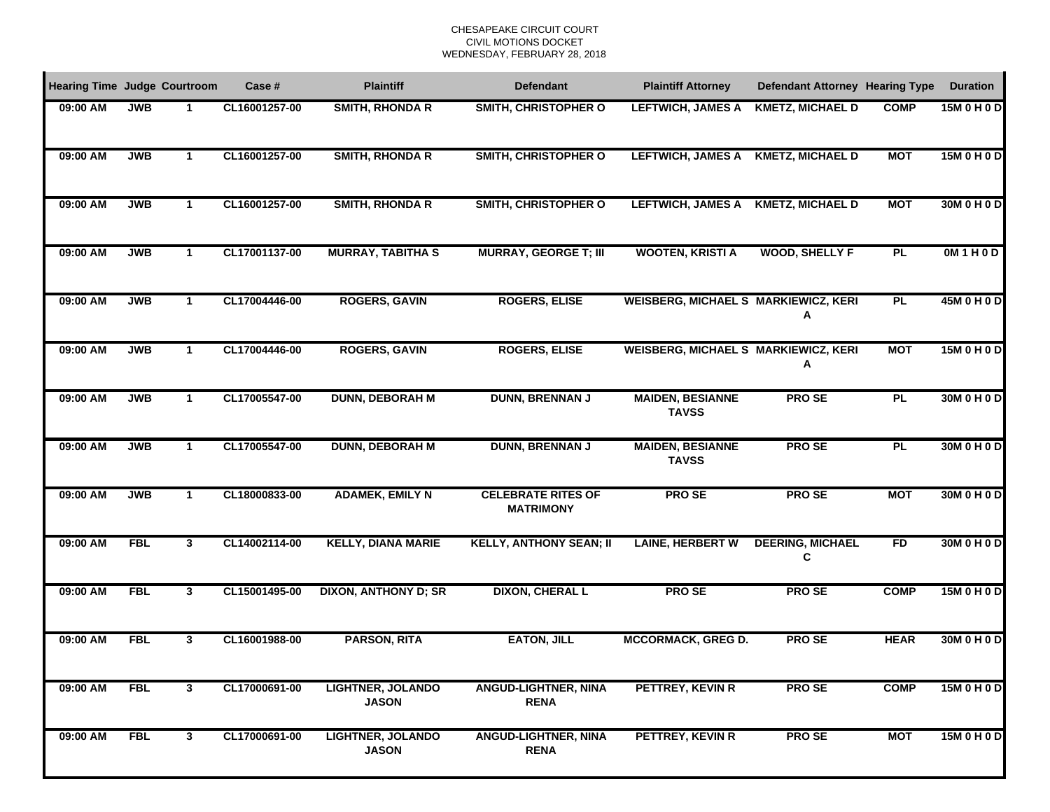| <b>Hearing Time Judge Courtroom</b> |            |              | Case #        | <b>Plaintiff</b>                         | <b>Defendant</b>                              | <b>Plaintiff Attorney</b>                   | <b>Defendant Attorney Hearing Type</b> |             | <b>Duration</b> |
|-------------------------------------|------------|--------------|---------------|------------------------------------------|-----------------------------------------------|---------------------------------------------|----------------------------------------|-------------|-----------------|
| 09:00 AM                            | <b>JWB</b> |              | CL16001257-00 | <b>SMITH, RHONDA R</b>                   | <b>SMITH, CHRISTOPHER O</b>                   | <b>LEFTWICH, JAMES A</b>                    | <b>KMETZ, MICHAEL D</b>                | <b>COMP</b> | 15M 0 H 0 D     |
| 09:00 AM                            | <b>JWB</b> | $\mathbf 1$  | CL16001257-00 | <b>SMITH, RHONDA R</b>                   | <b>SMITH, CHRISTOPHER O</b>                   | <b>LEFTWICH, JAMES A</b>                    | <b>KMETZ, MICHAEL D</b>                | <b>MOT</b>  | 15M 0 H 0 D     |
| 09:00 AM                            | <b>JWB</b> | 1            | CL16001257-00 | <b>SMITH, RHONDA R</b>                   | <b>SMITH, CHRISTOPHER O</b>                   | <b>LEFTWICH, JAMES A</b>                    | <b>KMETZ, MICHAEL D</b>                | <b>MOT</b>  | 30M 0 H 0 D     |
| 09:00 AM                            | <b>JWB</b> | $\mathbf{1}$ | CL17001137-00 | <b>MURRAY, TABITHA S</b>                 | <b>MURRAY, GEORGE T; III</b>                  | <b>WOOTEN, KRISTI A</b>                     | <b>WOOD, SHELLY F</b>                  | PL          | OM1H0D          |
| 09:00 AM                            | <b>JWB</b> | $\mathbf{1}$ | CL17004446-00 | <b>ROGERS, GAVIN</b>                     | <b>ROGERS, ELISE</b>                          | WEISBERG, MICHAEL S MARKIEWICZ, KERI        | А                                      | PL          | 45M 0 H 0 D     |
| 09:00 AM                            | <b>JWB</b> | $\mathbf 1$  | CL17004446-00 | <b>ROGERS, GAVIN</b>                     | <b>ROGERS, ELISE</b>                          | <b>WEISBERG, MICHAEL S MARKIEWICZ, KERI</b> | Α                                      | <b>MOT</b>  | 15M 0 H 0 D     |
| 09:00 AM                            | <b>JWB</b> | $\mathbf{1}$ | CL17005547-00 | <b>DUNN, DEBORAH M</b>                   | <b>DUNN, BRENNAN J</b>                        | <b>MAIDEN, BESIANNE</b><br><b>TAVSS</b>     | <b>PROSE</b>                           | <b>PL</b>   | 30M 0 H 0 D     |
| 09:00 AM                            | <b>JWB</b> | $\mathbf{1}$ | CL17005547-00 | <b>DUNN, DEBORAH M</b>                   | <b>DUNN, BRENNAN J</b>                        | <b>MAIDEN, BESIANNE</b><br><b>TAVSS</b>     | <b>PROSE</b>                           | PL          | 30M 0 H 0 D     |
| 09:00 AM                            | <b>JWB</b> | $\mathbf{1}$ | CL18000833-00 | <b>ADAMEK, EMILY N</b>                   | <b>CELEBRATE RITES OF</b><br><b>MATRIMONY</b> | <b>PROSE</b>                                | <b>PROSE</b>                           | <b>MOT</b>  | 30M 0 H 0 D     |
| 09:00 AM                            | <b>FBL</b> | 3            | CL14002114-00 | <b>KELLY, DIANA MARIE</b>                | <b>KELLY, ANTHONY SEAN; II</b>                | <b>LAINE, HERBERT W</b>                     | <b>DEERING, MICHAEL</b><br>С           | FD          | 30M 0 H 0 D     |
| 09:00 AM                            | <b>FBL</b> | 3            | CL15001495-00 | <b>DIXON, ANTHONY D; SR</b>              | <b>DIXON, CHERAL L</b>                        | <b>PROSE</b>                                | <b>PROSE</b>                           | <b>COMP</b> | 15M 0 H 0 D     |
| 09:00 AM                            | <b>FBL</b> | 3            | CL16001988-00 | <b>PARSON, RITA</b>                      | <b>EATON, JILL</b>                            | <b>MCCORMACK, GREG D.</b>                   | <b>PROSE</b>                           | <b>HEAR</b> | 30M 0 H 0 D     |
| 09:00 AM                            | <b>FBL</b> | $\mathbf{3}$ | CL17000691-00 | <b>LIGHTNER, JOLANDO</b><br><b>JASON</b> | <b>ANGUD-LIGHTNER, NINA</b><br><b>RENA</b>    | PETTREY, KEVIN R                            | <b>PROSE</b>                           | <b>COMP</b> | 15M 0 H 0 D     |
| 09:00 AM                            | <b>FBL</b> | $\mathbf{3}$ | CL17000691-00 | <b>LIGHTNER, JOLANDO</b><br><b>JASON</b> | <b>ANGUD-LIGHTNER, NINA</b><br><b>RENA</b>    | PETTREY, KEVIN R                            | <b>PROSE</b>                           | <b>MOT</b>  | 15M 0 H 0 D     |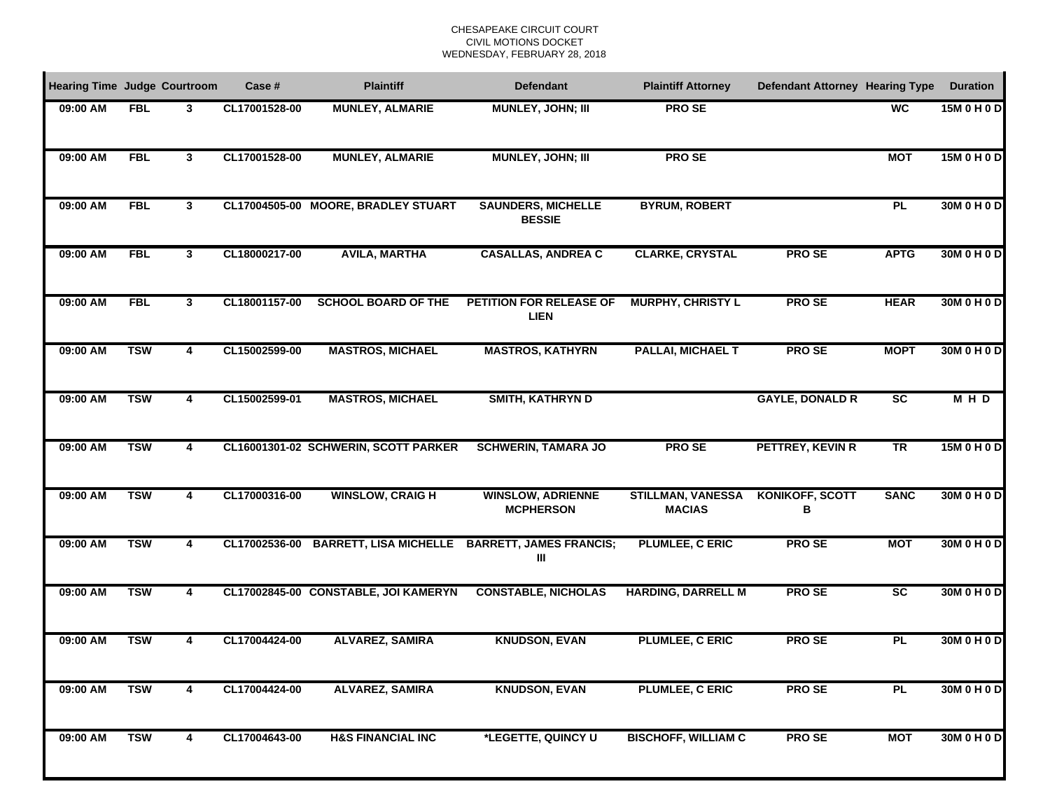| <b>Hearing Time Judge Courtroom</b> |            |                         | Case #        | <b>Plaintiff</b>                     | <b>Defendant</b>                             | <b>Plaintiff Attorney</b>                 | <b>Defendant Attorney Hearing Type</b> |                 | <b>Duration</b> |
|-------------------------------------|------------|-------------------------|---------------|--------------------------------------|----------------------------------------------|-------------------------------------------|----------------------------------------|-----------------|-----------------|
| 09:00 AM                            | <b>FBL</b> | 3                       | CL17001528-00 | <b>MUNLEY, ALMARIE</b>               | MUNLEY, JOHN; III                            | <b>PROSE</b>                              |                                        | <b>WC</b>       | 15M0H0D         |
| 09:00 AM                            | <b>FBL</b> | 3                       | CL17001528-00 | <b>MUNLEY, ALMARIE</b>               | MUNLEY, JOHN; III                            | <b>PROSE</b>                              |                                        | <b>MOT</b>      | 15M 0 H 0 D     |
| 09:00 AM                            | <b>FBL</b> | 3                       |               | CL17004505-00 MOORE, BRADLEY STUART  | <b>SAUNDERS, MICHELLE</b><br><b>BESSIE</b>   | <b>BYRUM, ROBERT</b>                      |                                        | <b>PL</b>       | 30M 0 H 0 D     |
| 09:00 AM                            | <b>FBL</b> | 3                       | CL18000217-00 | <b>AVILA, MARTHA</b>                 | <b>CASALLAS, ANDREA C</b>                    | <b>CLARKE, CRYSTAL</b>                    | <b>PROSE</b>                           | <b>APTG</b>     | 30M 0 H 0 D     |
| 09:00 AM                            | <b>FBL</b> | $\mathbf{3}$            | CL18001157-00 | <b>SCHOOL BOARD OF THE</b>           | PETITION FOR RELEASE OF<br>LIEN              | <b>MURPHY, CHRISTY L</b>                  | <b>PROSE</b>                           | <b>HEAR</b>     | 30M 0 H 0 D     |
| 09:00 AM                            | <b>TSW</b> | 4                       | CL15002599-00 | <b>MASTROS, MICHAEL</b>              | <b>MASTROS, KATHYRN</b>                      | <b>PALLAI, MICHAEL T</b>                  | <b>PROSE</b>                           | <b>MOPT</b>     | 30M 0 H 0 D     |
| 09:00 AM                            | <b>TSW</b> | $\overline{\mathbf{4}}$ | CL15002599-01 | <b>MASTROS, MICHAEL</b>              | <b>SMITH, KATHRYN D</b>                      |                                           | <b>GAYLE, DONALD R</b>                 | $\overline{sc}$ | MHD             |
| 09:00 AM                            | <b>TSW</b> | 4                       |               | CL16001301-02 SCHWERIN, SCOTT PARKER | <b>SCHWERIN, TAMARA JO</b>                   | <b>PROSE</b>                              | <b>PETTREY, KEVIN R</b>                | TR              | 15M 0 H 0 D     |
| 09:00 AM                            | <b>TSW</b> | 4                       | CL17000316-00 | <b>WINSLOW, CRAIGH</b>               | <b>WINSLOW, ADRIENNE</b><br><b>MCPHERSON</b> | <b>STILLMAN, VANESSA</b><br><b>MACIAS</b> | <b>KONIKOFF, SCOTT</b><br>в            | <b>SANC</b>     | 30M 0 H 0 D     |
| 09:00 AM                            | <b>TSW</b> | 4                       | CL17002536-00 | <b>BARRETT, LISA MICHELLE</b>        | <b>BARRETT, JAMES FRANCIS;</b><br>Ш          | <b>PLUMLEE, C ERIC</b>                    | <b>PROSE</b>                           | <b>MOT</b>      | 30M 0 H 0 D     |
| 09:00 AM                            | <b>TSW</b> | 4                       |               | CL17002845-00 CONSTABLE, JOI KAMERYN | <b>CONSTABLE, NICHOLAS</b>                   | <b>HARDING, DARRELL M</b>                 | <b>PROSE</b>                           | $\overline{sc}$ | 30M 0 H 0 D     |
| 09:00 AM                            | <b>TSW</b> | 4                       | CL17004424-00 | <b>ALVAREZ, SAMIRA</b>               | <b>KNUDSON, EVAN</b>                         | PLUMLEE, C ERIC                           | <b>PROSE</b>                           | PL              | 30M 0 H 0 D     |
| 09:00 AM                            | <b>TSW</b> | 4                       | CL17004424-00 | <b>ALVAREZ, SAMIRA</b>               | <b>KNUDSON, EVAN</b>                         | PLUMLEE, C ERIC                           | <b>PROSE</b>                           | <b>PL</b>       | 30M 0 H 0 D     |
| 09:00 AM                            | <b>TSW</b> | 4                       | CL17004643-00 | <b>H&amp;S FINANCIAL INC</b>         | *LEGETTE, QUINCY U                           | <b>BISCHOFF, WILLIAM C</b>                | <b>PROSE</b>                           | <b>MOT</b>      | 30M 0 H 0 D     |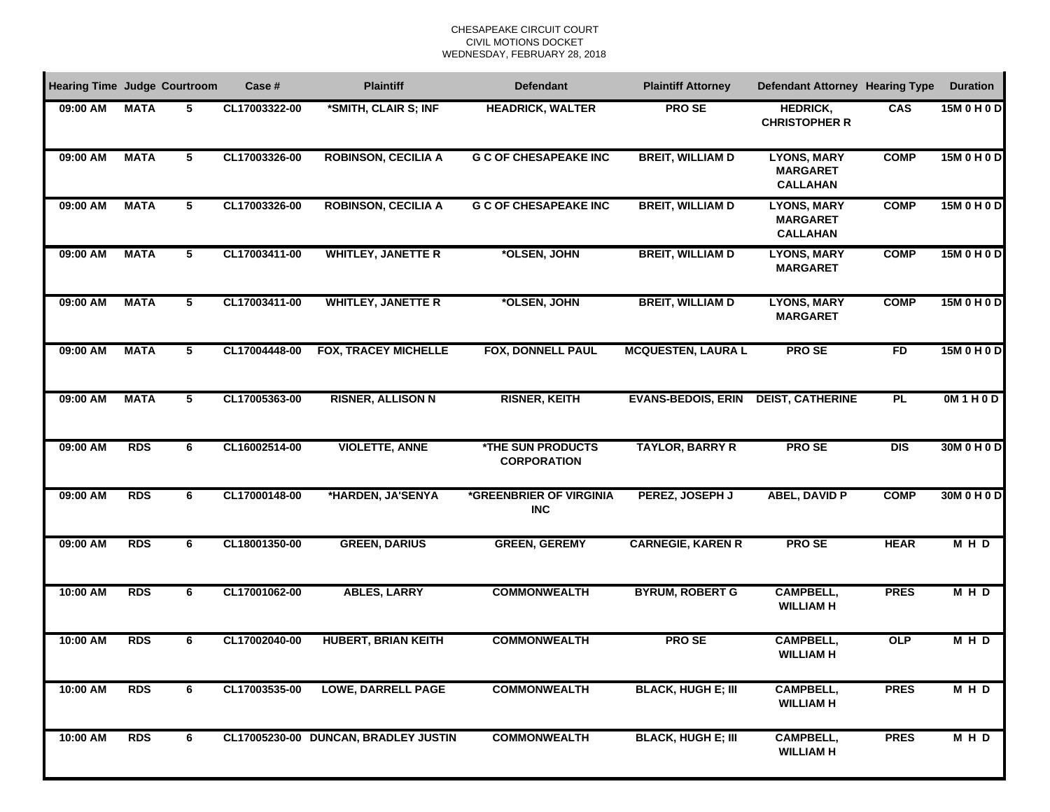| <b>Hearing Time Judge Courtroom</b> |             |   | Case #        | <b>Plaintiff</b>                     | <b>Defendant</b>                               | <b>Plaintiff Attorney</b> | <b>Defendant Attorney Hearing Type</b>                   |             | <b>Duration</b> |
|-------------------------------------|-------------|---|---------------|--------------------------------------|------------------------------------------------|---------------------------|----------------------------------------------------------|-------------|-----------------|
| 09:00 AM                            | <b>MATA</b> | 5 | CL17003322-00 | *SMITH, CLAIR S; INF                 | <b>HEADRICK, WALTER</b>                        | <b>PROSE</b>              | <b>HEDRICK,</b><br><b>CHRISTOPHER R</b>                  | CAS         | 15M 0 H 0 D     |
| 09:00 AM                            | <b>MATA</b> | 5 | CL17003326-00 | <b>ROBINSON, CECILIA A</b>           | <b>G C OF CHESAPEAKE INC</b>                   | <b>BREIT, WILLIAM D</b>   | <b>LYONS, MARY</b><br><b>MARGARET</b><br><b>CALLAHAN</b> | <b>COMP</b> | 15M 0 H 0 D     |
| 09:00 AM                            | <b>MATA</b> | 5 | CL17003326-00 | <b>ROBINSON, CECILIA A</b>           | <b>G C OF CHESAPEAKE INC</b>                   | <b>BREIT, WILLIAM D</b>   | <b>LYONS, MARY</b><br><b>MARGARET</b><br><b>CALLAHAN</b> | <b>COMP</b> | 15M 0 H 0 D     |
| 09:00 AM                            | <b>MATA</b> | 5 | CL17003411-00 | <b>WHITLEY, JANETTE R</b>            | *OLSEN, JOHN                                   | <b>BREIT, WILLIAM D</b>   | <b>LYONS, MARY</b><br><b>MARGARET</b>                    | <b>COMP</b> | 15M 0 H 0 D     |
| 09:00 AM                            | <b>MATA</b> | 5 | CL17003411-00 | <b>WHITLEY, JANETTE R</b>            | *OLSEN, JOHN                                   | <b>BREIT, WILLIAM D</b>   | <b>LYONS, MARY</b><br><b>MARGARET</b>                    | <b>COMP</b> | 15M 0 H 0 D     |
| 09:00 AM                            | <b>MATA</b> | 5 | CL17004448-00 | <b>FOX, TRACEY MICHELLE</b>          | <b>FOX, DONNELL PAUL</b>                       | <b>MCQUESTEN, LAURA L</b> | <b>PROSE</b>                                             | FD          | 15M 0 H 0 D     |
| 09:00 AM                            | <b>MATA</b> | 5 | CL17005363-00 | <b>RISNER, ALLISON N</b>             | <b>RISNER, KEITH</b>                           | <b>EVANS-BEDOIS, ERIN</b> | <b>DEIST, CATHERINE</b>                                  | <b>PL</b>   | OM1H0D          |
| 09:00 AM                            | <b>RDS</b>  | 6 | CL16002514-00 | <b>VIOLETTE, ANNE</b>                | <b>*THE SUN PRODUCTS</b><br><b>CORPORATION</b> | <b>TAYLOR, BARRY R</b>    | <b>PROSE</b>                                             | <b>DIS</b>  | 30M 0 H 0 D     |
| 09:00 AM                            | <b>RDS</b>  | 6 | CL17000148-00 | *HARDEN, JA'SENYA                    | *GREENBRIER OF VIRGINIA<br><b>INC</b>          | PEREZ, JOSEPH J           | <b>ABEL, DAVID P</b>                                     | <b>COMP</b> | 30M 0 H 0 D     |
| 09:00 AM                            | <b>RDS</b>  | 6 | CL18001350-00 | <b>GREEN, DARIUS</b>                 | <b>GREEN, GEREMY</b>                           | <b>CARNEGIE, KAREN R</b>  | <b>PROSE</b>                                             | <b>HEAR</b> | <b>MHD</b>      |
| 10:00 AM                            | <b>RDS</b>  | 6 | CL17001062-00 | <b>ABLES, LARRY</b>                  | <b>COMMONWEALTH</b>                            | <b>BYRUM, ROBERT G</b>    | <b>CAMPBELL,</b><br><b>WILLIAM H</b>                     | <b>PRES</b> | <b>MHD</b>      |
| 10:00 AM                            | <b>RDS</b>  | 6 | CL17002040-00 | <b>HUBERT, BRIAN KEITH</b>           | <b>COMMONWEALTH</b>                            | <b>PROSE</b>              | <b>CAMPBELL,</b><br><b>WILLIAM H</b>                     | <b>OLP</b>  | <b>MHD</b>      |
| 10:00 AM                            | <b>RDS</b>  | 6 | CL17003535-00 | <b>LOWE, DARRELL PAGE</b>            | <b>COMMONWEALTH</b>                            | <b>BLACK, HUGH E; III</b> | <b>CAMPBELL,</b><br><b>WILLIAM H</b>                     | <b>PRES</b> | <b>MHD</b>      |
| 10:00 AM                            | <b>RDS</b>  | 6 |               | CL17005230-00 DUNCAN, BRADLEY JUSTIN | <b>COMMONWEALTH</b>                            | <b>BLACK, HUGH E; III</b> | <b>CAMPBELL,</b><br><b>WILLIAM H</b>                     | <b>PRES</b> | <b>MHD</b>      |